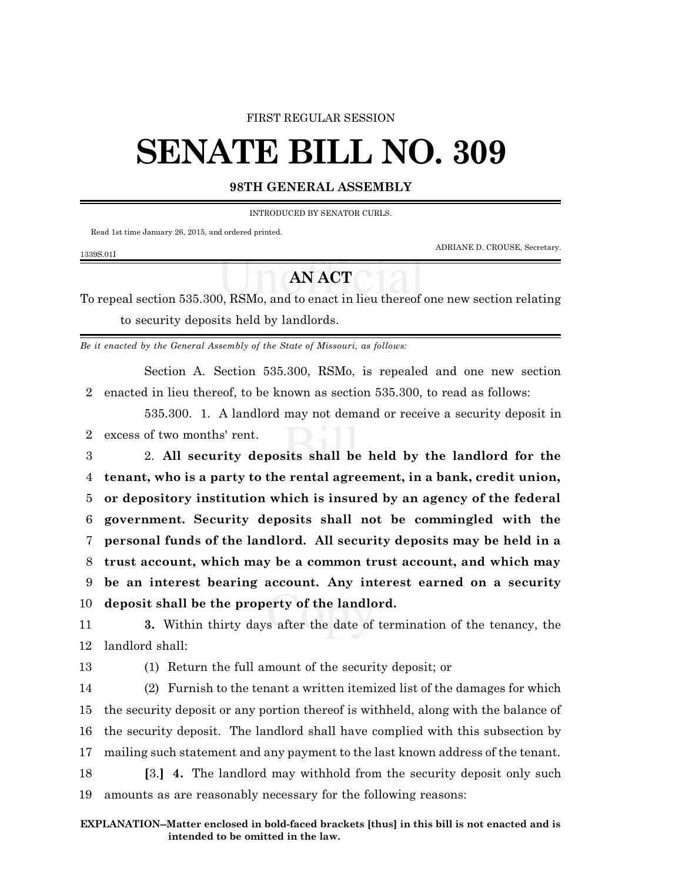## FIRST REGULAR SESSION

## **SENATE BILL NO. 309**

## **98TH GENERAL ASSEMBLY**

INTRODUCED BY SENATOR CURLS.

Read 1st time January 26, 2015, and ordered printed.

ADRIANE D. CROUSE, Secretary.

## **AN ACT**

To repeal section 535.300, RSMo, and to enact in lieu thereof one new section relating to security deposits held by landlords.

*Be it enacted by the General Assembly of the State of Missouri, as follows:*

Section A. Section 535.300, RSMo, is repealed and one new section 2 enacted in lieu thereof, to be known as section 535.300, to read as follows:

535.300. 1. A landlord may not demand or receive a security deposit in 2 excess of two months' rent.

 2. **All security deposits shall be held by the landlord for the tenant, who is a party to the rental agreement, in a bank, credit union, or depository institution which is insured by an agency of the federal government. Security deposits shall not be commingled with the personal funds of the landlord. All security deposits may be held in a trust account, which may be a common trust account, and which may be an interest bearing account. Any interest earned on a security deposit shall be the property of the landlord.**

11 **3.** Within thirty days after the date of termination of the tenancy, the 12 landlord shall:

1339S.01I

13 (1) Return the full amount of the security deposit; or

 (2) Furnish to the tenant a written itemized list of the damages for which the security deposit or any portion thereof is withheld, along with the balance of the security deposit. The landlord shall have complied with this subsection by mailing such statement and any payment to the last known address of the tenant. **[**3.**] 4.** The landlord may withhold from the security deposit only such amounts as are reasonably necessary for the following reasons: